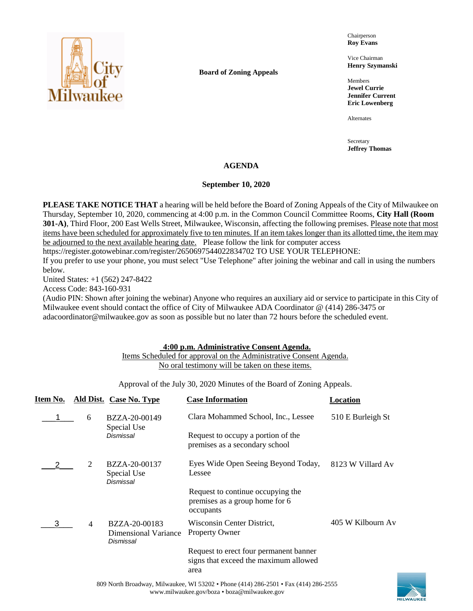

**Board of Zoning Appeals**

Chairperson **Roy Evans**

Vice Chairman **Henry Szymanski**

Members **Jewel Currie Jennifer Current Eric Lowenberg**

Alternates

Secretary **Jeffrey Thomas**

# **AGENDA**

### **September 10, 2020**

**PLEASE TAKE NOTICE THAT** a hearing will be held before the Board of Zoning Appeals of the City of Milwaukee on Thursday, September 10, 2020, commencing at 4:00 p.m. in the Common Council Committee Rooms, **City Hall (Room 301-A)**, Third Floor, 200 East Wells Street, Milwaukee, Wisconsin, affecting the following premises. Please note that most items have been scheduled for approximately five to ten minutes. If an item takes longer than its allotted time, the item may be adjourned to the next available hearing date. Please follow the link for computer access

https://register.gotowebinar.com/register/2650697544022834702 TO USE YOUR TELEPHONE:

If you prefer to use your phone, you must select "Use Telephone" after joining the webinar and call in using the numbers below.

United States: +1 (562) 247-8422

Access Code: 843-160-931

(Audio PIN: Shown after joining the webinar) Anyone who requires an auxiliary aid or service to participate in this City of Milwaukee event should contact the office of City of Milwaukee ADA Coordinator @ (414) 286-3475 or adacoordinator@milwaukee.gov as soon as possible but no later than 72 hours before the scheduled event.

## **4:00 p.m. Administrative Consent Agenda.**

# Items Scheduled for approval on the Administrative Consent Agenda. No oral testimony will be taken on these items.

Approval of the July 30, 2020 Minutes of the Board of Zoning Appeals.

| Item No. |                | Ald Dist. Case No. Type                            | <b>Case Information</b>                                                                 | Location          |
|----------|----------------|----------------------------------------------------|-----------------------------------------------------------------------------------------|-------------------|
|          | 6              | BZZA-20-00149<br>Special Use                       | Clara Mohammed School, Inc., Lessee                                                     | 510 E Burleigh St |
|          |                | Dismissal                                          | Request to occupy a portion of the<br>premises as a secondary school                    |                   |
|          | 2              | BZZA-20-00137<br>Special Use<br>Dismissal          | Eyes Wide Open Seeing Beyond Today,<br>Lessee                                           | 8123 W Villard Av |
|          |                |                                                    | Request to continue occupying the<br>premises as a group home for 6<br>occupants        |                   |
| 3        | $\overline{4}$ | BZZA-20-00183<br>Dimensional Variance<br>Dismissal | Wisconsin Center District,<br><b>Property Owner</b>                                     | 405 W Kilbourn Av |
|          |                |                                                    | Request to erect four permanent banner<br>signs that exceed the maximum allowed<br>area |                   |
|          |                |                                                    |                                                                                         |                   |

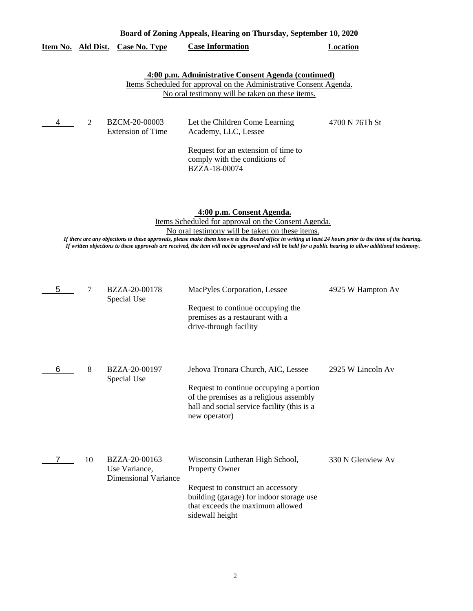|                                                                    |  |                                  | Board of Zoning Appeals, Hearing on Thursday, September 10, 2020 |          |
|--------------------------------------------------------------------|--|----------------------------------|------------------------------------------------------------------|----------|
|                                                                    |  | Item No. Ald Dist. Case No. Type | <b>Case Information</b>                                          | Location |
|                                                                    |  |                                  |                                                                  |          |
| 4:00 p.m. Administrative Consent Agenda (continued)                |  |                                  |                                                                  |          |
| Items Scheduled for approval on the Administrative Consent Agenda. |  |                                  |                                                                  |          |

No oral testimony will be taken on these items.

|  | BZCM-20-00003<br>Extension of Time | Let the Children Come Learning<br>Academy, LLC, Lessee                                | 4700 N 76Th St |
|--|------------------------------------|---------------------------------------------------------------------------------------|----------------|
|  |                                    | Request for an extension of time to<br>comply with the conditions of<br>BZZA-18-00074 |                |

**4:00 p.m. Consent Agenda.**

Items Scheduled for approval on the Consent Agenda. No oral testimony will be taken on these items.

*If there are any objections to these approvals, please make them known to the Board office in writing at least 24 hours prior to the time of the hearing. If written objections to these approvals are received, the item will not be approved and will be held for a public hearing to allow additional testimony.*

| 5 | 7  | BZZA-20-00178<br>Special Use                           | MacPyles Corporation, Lessee<br>Request to continue occupying the<br>premises as a restaurant with a<br>drive-through facility                                                                   | 4925 W Hampton Av |
|---|----|--------------------------------------------------------|--------------------------------------------------------------------------------------------------------------------------------------------------------------------------------------------------|-------------------|
| 6 | 8  | BZZA-20-00197<br>Special Use                           | Jehova Tronara Church, AIC, Lessee<br>Request to continue occupying a portion<br>of the premises as a religious assembly<br>hall and social service facility (this is a<br>new operator)         | 2925 W Lincoln Av |
|   | 10 | BZZA-20-00163<br>Use Variance,<br>Dimensional Variance | Wisconsin Lutheran High School,<br><b>Property Owner</b><br>Request to construct an accessory<br>building (garage) for indoor storage use<br>that exceeds the maximum allowed<br>sidewall height | 330 N Glenview Av |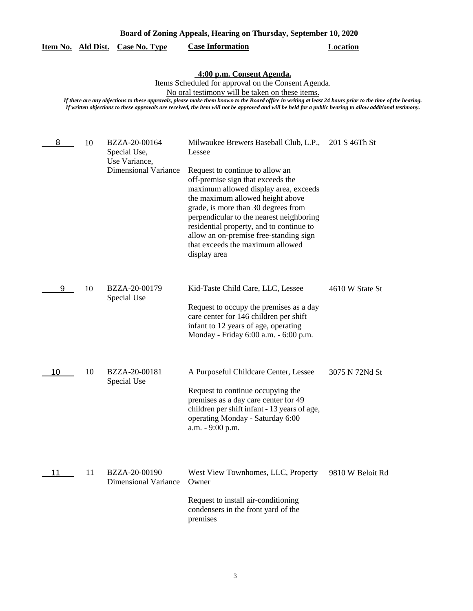|    | 4:00 p.m. Consent Agenda.<br>Items Scheduled for approval on the Consent Agenda.<br>No oral testimony will be taken on these items.<br>If there are any objections to these approvals, please make them known to the Board office in writing at least 24 hours prior to the time of the hearing.<br>If written objections to these approvals are received, the item will not be approved and will be held for a public hearing to allow additional testimony. |                                                                               |                                                                                                                                                                                                                                                                                                                                                                                                                                                  |                  |  |
|----|---------------------------------------------------------------------------------------------------------------------------------------------------------------------------------------------------------------------------------------------------------------------------------------------------------------------------------------------------------------------------------------------------------------------------------------------------------------|-------------------------------------------------------------------------------|--------------------------------------------------------------------------------------------------------------------------------------------------------------------------------------------------------------------------------------------------------------------------------------------------------------------------------------------------------------------------------------------------------------------------------------------------|------------------|--|
| 8  | 10                                                                                                                                                                                                                                                                                                                                                                                                                                                            | BZZA-20-00164<br>Special Use,<br>Use Variance,<br><b>Dimensional Variance</b> | Milwaukee Brewers Baseball Club, L.P., 201 S 46Th St<br>Lessee<br>Request to continue to allow an<br>off-premise sign that exceeds the<br>maximum allowed display area, exceeds<br>the maximum allowed height above<br>grade, is more than 30 degrees from<br>perpendicular to the nearest neighboring<br>residential property, and to continue to<br>allow an on-premise free-standing sign<br>that exceeds the maximum allowed<br>display area |                  |  |
| 9  | 10                                                                                                                                                                                                                                                                                                                                                                                                                                                            | BZZA-20-00179<br>Special Use                                                  | Kid-Taste Child Care, LLC, Lessee<br>Request to occupy the premises as a day<br>care center for 146 children per shift<br>infant to 12 years of age, operating<br>Monday - Friday 6:00 a.m. - 6:00 p.m.                                                                                                                                                                                                                                          | 4610 W State St  |  |
| 10 | 10                                                                                                                                                                                                                                                                                                                                                                                                                                                            | BZZA-20-00181<br>Special Use                                                  | A Purposeful Childcare Center, Lessee<br>Request to continue occupying the<br>premises as a day care center for 49<br>children per shift infant - 13 years of age,<br>operating Monday - Saturday 6:00<br>a.m. - 9:00 p.m.                                                                                                                                                                                                                       | 3075 N 72Nd St   |  |
| 11 | 11                                                                                                                                                                                                                                                                                                                                                                                                                                                            | BZZA-20-00190<br><b>Dimensional Variance</b>                                  | West View Townhomes, LLC, Property<br>Owner<br>Request to install air-conditioning<br>condensers in the front yard of the<br>premises                                                                                                                                                                                                                                                                                                            | 9810 W Beloit Rd |  |

**Item No. Ald Dist. Case No. Type Case Information Location**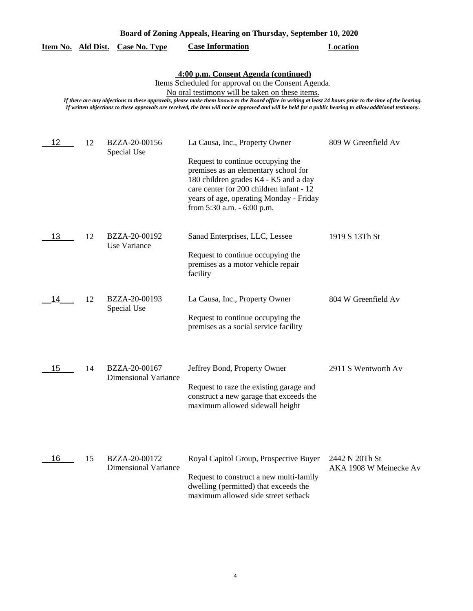|  | Board of Zoning Appeals, Hearing on Thursday, September 10, 2020 |  |  |
|--|------------------------------------------------------------------|--|--|
|  |                                                                  |  |  |

|  |  | Item No. Ald Dist. Case No. Type | <b>Case Information</b> | Location |
|--|--|----------------------------------|-------------------------|----------|
|--|--|----------------------------------|-------------------------|----------|

### **4:00 p.m. Consent Agenda (continued)**

Items Scheduled for approval on the Consent Agenda.

No oral testimony will be taken on these items.

*If there are any objections to these approvals, please make them known to the Board office in writing at least 24 hours prior to the time of the hearing. If written objections to these approvals are received, the item will not be approved and will be held for a public hearing to allow additional testimony.*

| 12 | 12 | BZZA-20-00156<br>Special Use                 | La Causa, Inc., Property Owner<br>Request to continue occupying the<br>premises as an elementary school for<br>180 children grades K4 - K5 and a day<br>care center for 200 children infant - 12<br>years of age, operating Monday - Friday<br>from 5:30 a.m. - 6:00 p.m. | 809 W Greenfield Av                      |
|----|----|----------------------------------------------|---------------------------------------------------------------------------------------------------------------------------------------------------------------------------------------------------------------------------------------------------------------------------|------------------------------------------|
| 13 | 12 | BZZA-20-00192<br>Use Variance                | Sanad Enterprises, LLC, Lessee<br>Request to continue occupying the<br>premises as a motor vehicle repair<br>facility                                                                                                                                                     | 1919 S 13Th St                           |
| 14 | 12 | BZZA-20-00193<br>Special Use                 | La Causa, Inc., Property Owner<br>Request to continue occupying the<br>premises as a social service facility                                                                                                                                                              | 804 W Greenfield Av                      |
| 15 | 14 | BZZA-20-00167<br><b>Dimensional Variance</b> | Jeffrey Bond, Property Owner<br>Request to raze the existing garage and<br>construct a new garage that exceeds the<br>maximum allowed sidewall height                                                                                                                     | 2911 S Wentworth Av                      |
| 16 | 15 | BZZA-20-00172<br><b>Dimensional Variance</b> | Royal Capitol Group, Prospective Buyer<br>Request to construct a new multi-family<br>dwelling (permitted) that exceeds the<br>maximum allowed side street setback                                                                                                         | 2442 N 20Th St<br>AKA 1908 W Meinecke Av |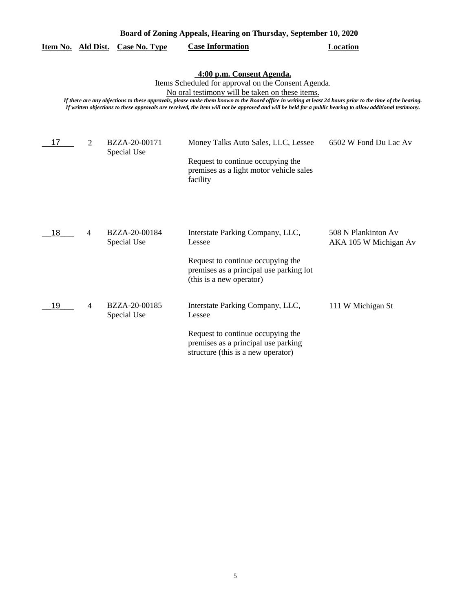|                                                                                                                                                                                                                                                                                                                                                                                                                                                               |                | <u>Item No. Ald Dist. Case No. Type</u> | <b>Case Information</b>                                                                                                                                      | <b>Location</b>                              |  |  |
|---------------------------------------------------------------------------------------------------------------------------------------------------------------------------------------------------------------------------------------------------------------------------------------------------------------------------------------------------------------------------------------------------------------------------------------------------------------|----------------|-----------------------------------------|--------------------------------------------------------------------------------------------------------------------------------------------------------------|----------------------------------------------|--|--|
| 4:00 p.m. Consent Agenda.<br>Items Scheduled for approval on the Consent Agenda.<br>No oral testimony will be taken on these items.<br>If there are any objections to these approvals, please make them known to the Board office in writing at least 24 hours prior to the time of the hearing.<br>If written objections to these approvals are received, the item will not be approved and will be held for a public hearing to allow additional testimony. |                |                                         |                                                                                                                                                              |                                              |  |  |
| 17                                                                                                                                                                                                                                                                                                                                                                                                                                                            | 2              | BZZA-20-00171<br>Special Use            | Money Talks Auto Sales, LLC, Lessee<br>Request to continue occupying the<br>premises as a light motor vehicle sales<br>facility                              | 6502 W Fond Du Lac Av                        |  |  |
| 18                                                                                                                                                                                                                                                                                                                                                                                                                                                            | 4              | BZZA-20-00184<br>Special Use            | Interstate Parking Company, LLC,<br>Lessee<br>Request to continue occupying the<br>premises as a principal use parking lot<br>(this is a new operator)       | 508 N Plankinton Av<br>AKA 105 W Michigan Av |  |  |
| 19                                                                                                                                                                                                                                                                                                                                                                                                                                                            | $\overline{4}$ | BZZA-20-00185<br>Special Use            | Interstate Parking Company, LLC,<br>Lessee<br>Request to continue occupying the<br>premises as a principal use parking<br>structure (this is a new operator) | 111 W Michigan St                            |  |  |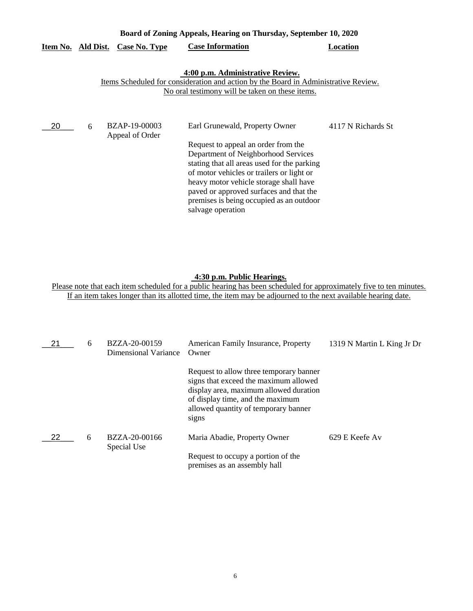| Board of Zoning Appeals, Hearing on Thursday, September 10, 2020 |                    |                                         |                                                                                                                                                                                                                                                                                                                                                                |                    |
|------------------------------------------------------------------|--------------------|-----------------------------------------|----------------------------------------------------------------------------------------------------------------------------------------------------------------------------------------------------------------------------------------------------------------------------------------------------------------------------------------------------------------|--------------------|
|                                                                  | Item No. Ald Dist. | <b>Case No. Type</b>                    | <b>Case Information</b>                                                                                                                                                                                                                                                                                                                                        | Location           |
|                                                                  |                    |                                         | 4:00 p.m. Administrative Review.<br>Items Scheduled for consideration and action by the Board in Administrative Review.<br>No oral testimony will be taken on these items.                                                                                                                                                                                     |                    |
| 20                                                               | 6                  | <b>BZAP-19-00003</b><br>Appeal of Order | Earl Grunewald, Property Owner<br>Request to appeal an order from the<br>Department of Neighborhood Services<br>stating that all areas used for the parking<br>of motor vehicles or trailers or light or<br>heavy motor vehicle storage shall have<br>paved or approved surfaces and that the<br>premises is being occupied as an outdoor<br>salvage operation | 4117 N Richards St |

### **4:30 p.m. Public Hearings.**

| 21  | 6 | BZZA-20-00159<br>Dimensional Variance | American Family Insurance, Property<br>Owner                                                                                                                                                                    | 1319 N Martin L King Jr Dr |
|-----|---|---------------------------------------|-----------------------------------------------------------------------------------------------------------------------------------------------------------------------------------------------------------------|----------------------------|
|     |   |                                       | Request to allow three temporary banner<br>signs that exceed the maximum allowed<br>display area, maximum allowed duration<br>of display time, and the maximum<br>allowed quantity of temporary banner<br>signs |                            |
| -22 | 6 | BZZA-20-00166<br>Special Use          | Maria Abadie, Property Owner                                                                                                                                                                                    | 629 E Keefe Av             |
|     |   |                                       | Request to occupy a portion of the<br>premises as an assembly hall                                                                                                                                              |                            |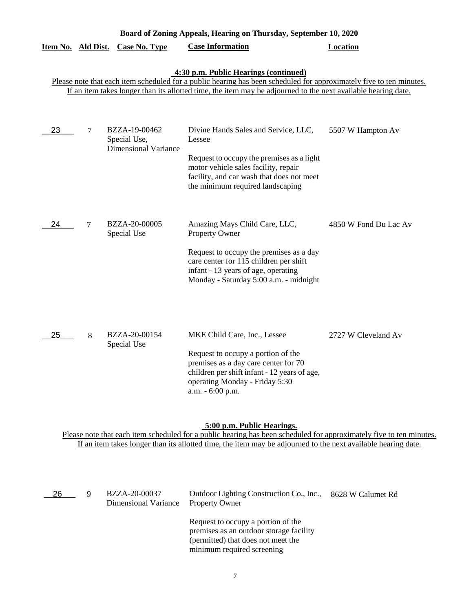| Board of Zoning Appeals, Hearing on Thursday, September 10, 2020 |                |                                                              |                                                                                                                                                                                                                                                                               |                       |
|------------------------------------------------------------------|----------------|--------------------------------------------------------------|-------------------------------------------------------------------------------------------------------------------------------------------------------------------------------------------------------------------------------------------------------------------------------|-----------------------|
| Item No. Ald Dist.                                               |                | <b>Case No. Type</b>                                         | <b>Case Information</b>                                                                                                                                                                                                                                                       | Location              |
|                                                                  |                |                                                              | 4:30 p.m. Public Hearings (continued)<br>Please note that each item scheduled for a public hearing has been scheduled for approximately five to ten minutes.<br>If an item takes longer than its allotted time, the item may be adjourned to the next available hearing date. |                       |
| 23                                                               | 7              | BZZA-19-00462<br>Special Use,<br><b>Dimensional Variance</b> | Divine Hands Sales and Service, LLC,<br>Lessee<br>Request to occupy the premises as a light<br>motor vehicle sales facility, repair<br>facility, and car wash that does not meet<br>the minimum required landscaping                                                          | 5507 W Hampton Av     |
| 24                                                               | $\overline{7}$ | BZZA-20-00005<br>Special Use                                 | Amazing Mays Child Care, LLC,<br>Property Owner<br>Request to occupy the premises as a day<br>care center for 115 children per shift<br>infant - 13 years of age, operating<br>Monday - Saturday 5:00 a.m. - midnight                                                         | 4850 W Fond Du Lac Av |
| 25                                                               | 8              | BZZA-20-00154<br>Special Use                                 | MKE Child Care, Inc., Lessee<br>Request to occupy a portion of the<br>premises as a day care center for 70<br>children per shift infant - 12 years of age,<br>operating Monday - Friday 5:30<br>a.m. - 6:00 p.m.                                                              | 2727 W Cleveland Av   |

#### **5:00 p.m. Public Hearings.**

| 26 | BZZA-20-00037<br>Dimensional Variance | Outdoor Lighting Construction Co., Inc.,<br><b>Property Owner</b>                                                                                 | 8628 W Calumet Rd |
|----|---------------------------------------|---------------------------------------------------------------------------------------------------------------------------------------------------|-------------------|
|    |                                       | Request to occupy a portion of the<br>premises as an outdoor storage facility<br>(permitted) that does not meet the<br>minimum required screening |                   |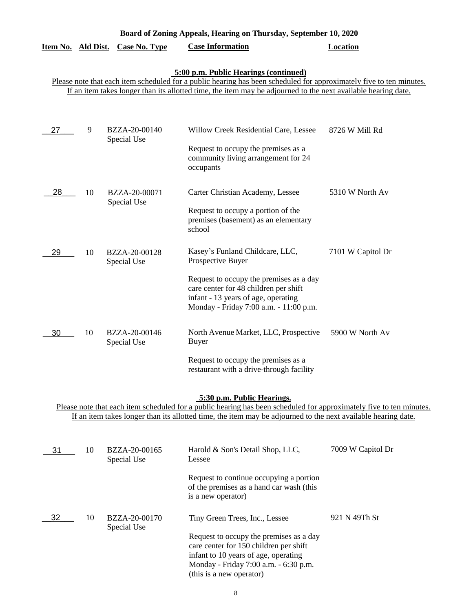# **Item No. Ald Dist. Case No. Type Case Information Location**

# **5:00 p.m. Public Hearings (continued)**

Please note that each item scheduled for a public hearing has been scheduled for approximately five to ten minutes. If an item takes longer than its allotted time, the item may be adjourned to the next available hearing date.

| 27 | 9  | BZZA-20-00140<br>Special Use | Willow Creek Residential Care, Lessee<br>Request to occupy the premises as a<br>community living arrangement for 24<br>occupants                                                                                          | 8726 W Mill Rd    |
|----|----|------------------------------|---------------------------------------------------------------------------------------------------------------------------------------------------------------------------------------------------------------------------|-------------------|
| 28 | 10 | BZZA-20-00071<br>Special Use | Carter Christian Academy, Lessee<br>Request to occupy a portion of the<br>premises (basement) as an elementary<br>school                                                                                                  | 5310 W North Av   |
| 29 | 10 | BZZA-20-00128<br>Special Use | Kasey's Funland Childcare, LLC,<br>Prospective Buyer<br>Request to occupy the premises as a day<br>care center for 48 children per shift<br>infant - 13 years of age, operating<br>Monday - Friday 7:00 a.m. - 11:00 p.m. | 7101 W Capitol Dr |
| 30 | 10 | BZZA-20-00146<br>Special Use | North Avenue Market, LLC, Prospective<br><b>Buyer</b><br>Request to occupy the premises as a<br>restaurant with a drive-through facility                                                                                  | 5900 W North Av   |

# **5:30 p.m. Public Hearings.**

| 31 | 10 | BZZA-20-00165<br>Special Use | Harold & Son's Detail Shop, LLC,<br>Lessee                                                                                                                                                     | 7009 W Capitol Dr |
|----|----|------------------------------|------------------------------------------------------------------------------------------------------------------------------------------------------------------------------------------------|-------------------|
|    |    |                              | Request to continue occupying a portion<br>of the premises as a hand car wash (this<br>is a new operator)                                                                                      |                   |
| 32 | 10 | BZZA-20-00170<br>Special Use | Tiny Green Trees, Inc., Lessee                                                                                                                                                                 | 921 N 49Th St     |
|    |    |                              | Request to occupy the premises as a day<br>care center for 150 children per shift<br>infant to 10 years of age, operating<br>Monday - Friday 7:00 a.m. - 6:30 p.m.<br>(this is a new operator) |                   |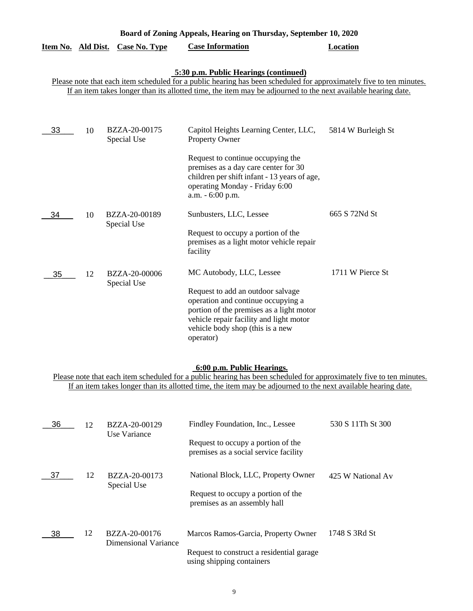| Board of Zoning Appeals, Hearing on Thursday, September 10, 2020 |    |                              |                                                                                                                                                                                                                                                                               |                    |  |  |
|------------------------------------------------------------------|----|------------------------------|-------------------------------------------------------------------------------------------------------------------------------------------------------------------------------------------------------------------------------------------------------------------------------|--------------------|--|--|
| Item No. Ald Dist.                                               |    | <b>Case No. Type</b>         | <b>Case Information</b>                                                                                                                                                                                                                                                       | <b>Location</b>    |  |  |
|                                                                  |    |                              | 5:30 p.m. Public Hearings (continued)<br>Please note that each item scheduled for a public hearing has been scheduled for approximately five to ten minutes.<br>If an item takes longer than its allotted time, the item may be adjourned to the next available hearing date. |                    |  |  |
| 33                                                               | 10 | BZZA-20-00175<br>Special Use | Capitol Heights Learning Center, LLC,<br>Property Owner<br>Request to continue occupying the<br>premises as a day care center for 30<br>children per shift infant - 13 years of age,<br>operating Monday - Friday 6:00<br>a.m. - 6:00 p.m.                                    | 5814 W Burleigh St |  |  |
| 34                                                               | 10 | BZZA-20-00189<br>Special Use | Sunbusters, LLC, Lessee<br>Request to occupy a portion of the<br>premises as a light motor vehicle repair<br>facility                                                                                                                                                         | 665 S 72Nd St      |  |  |
| 35                                                               | 12 | BZZA-20-00006<br>Special Use | MC Autobody, LLC, Lessee<br>Request to add an outdoor salvage<br>operation and continue occupying a<br>portion of the premises as a light motor<br>vehicle repair facility and light motor<br>vehicle body shop (this is a new<br>operator)                                   | 1711 W Pierce St   |  |  |

# **6:00 p.m. Public Hearings.**

| 36 | 12 | BZZA-20-00129<br>Use Variance         | Findley Foundation, Inc., Lessee                                            | 530 S 11Th St 300 |
|----|----|---------------------------------------|-----------------------------------------------------------------------------|-------------------|
|    |    |                                       | Request to occupy a portion of the<br>premises as a social service facility |                   |
| 37 | 12 | BZZA-20-00173                         | National Block, LLC, Property Owner                                         | 425 W National Av |
|    |    | Special Use                           | Request to occupy a portion of the<br>premises as an assembly hall          |                   |
| 38 | 12 | BZZA-20-00176<br>Dimensional Variance | Marcos Ramos-Garcia, Property Owner                                         | 1748 S 3Rd St     |
|    |    |                                       | Request to construct a residential garage.<br>using shipping containers     |                   |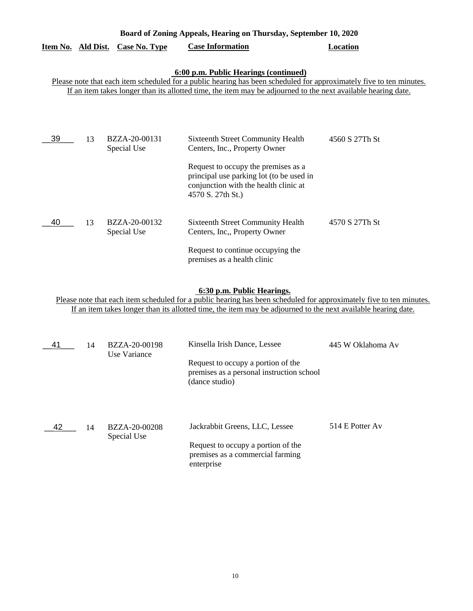| Board of Zoning Appeals, Hearing on Thursday, September 10, 2020                                                                                                                                                                                                              |    |                              |                                                                                                                                                                                                                            |                |  |  |
|-------------------------------------------------------------------------------------------------------------------------------------------------------------------------------------------------------------------------------------------------------------------------------|----|------------------------------|----------------------------------------------------------------------------------------------------------------------------------------------------------------------------------------------------------------------------|----------------|--|--|
| Item No. Ald Dist.                                                                                                                                                                                                                                                            |    | <b>Case No. Type</b>         | <b>Case Information</b>                                                                                                                                                                                                    | Location       |  |  |
| 6:00 p.m. Public Hearings (continued)<br>Please note that each item scheduled for a public hearing has been scheduled for approximately five to ten minutes.<br>If an item takes longer than its allotted time, the item may be adjourned to the next available hearing date. |    |                              |                                                                                                                                                                                                                            |                |  |  |
| 39                                                                                                                                                                                                                                                                            | 13 | BZZA-20-00131<br>Special Use | <b>Sixteenth Street Community Health</b><br>Centers, Inc., Property Owner<br>Request to occupy the premises as a<br>principal use parking lot (to be used in<br>conjunction with the health clinic at<br>4570 S. 27th St.) | 4560 S 27Th St |  |  |
| 40                                                                                                                                                                                                                                                                            | 13 | BZZA-20-00132<br>Special Use | <b>Sixteenth Street Community Health</b><br>Centers, Inc., Property Owner<br>Request to continue occupying the<br>premises as a health clinic                                                                              | 4570 S 27Th St |  |  |

## **6:30 p.m. Public Hearings.**

| 41  | 14 | BZZA-20-00198<br>Use Variance | Kinsella Irish Dance, Lessee                                                                                           | 445 W Oklahoma Av |
|-----|----|-------------------------------|------------------------------------------------------------------------------------------------------------------------|-------------------|
|     |    |                               | Request to occupy a portion of the<br>premises as a personal instruction school<br>(dance studio)                      |                   |
| -42 | 14 | BZZA-20-00208<br>Special Use  | Jackrabbit Greens, LLC, Lessee<br>Request to occupy a portion of the<br>premises as a commercial farming<br>enterprise | 514 E Potter Av   |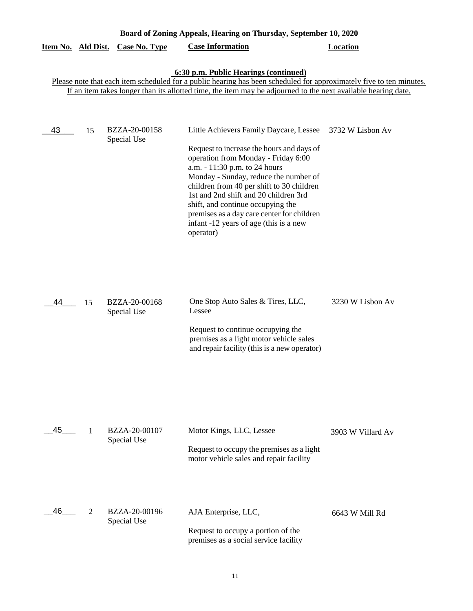|                    | Board of Zoning Appeals, Hearing on Thursday, September 10, 2020 |                              |                                                                                                                                                                                                                                                                                                                                                                                                                                       |                   |  |  |
|--------------------|------------------------------------------------------------------|------------------------------|---------------------------------------------------------------------------------------------------------------------------------------------------------------------------------------------------------------------------------------------------------------------------------------------------------------------------------------------------------------------------------------------------------------------------------------|-------------------|--|--|
| Item No. Ald Dist. |                                                                  | <b>Case No. Type</b>         | <b>Case Information</b>                                                                                                                                                                                                                                                                                                                                                                                                               | <b>Location</b>   |  |  |
|                    |                                                                  |                              | 6:30 p.m. Public Hearings (continued)<br>Please note that each item scheduled for a public hearing has been scheduled for approximately five to ten minutes.<br>If an item takes longer than its allotted time, the item may be adjourned to the next available hearing date.                                                                                                                                                         |                   |  |  |
| 43                 | 15                                                               | BZZA-20-00158<br>Special Use | Little Achievers Family Daycare, Lessee<br>Request to increase the hours and days of<br>operation from Monday - Friday 6:00<br>a.m. - 11:30 p.m. to 24 hours<br>Monday - Sunday, reduce the number of<br>children from 40 per shift to 30 children<br>1st and 2nd shift and 20 children 3rd<br>shift, and continue occupying the<br>premises as a day care center for children<br>infant -12 years of age (this is a new<br>operator) | 3732 W Lisbon Av  |  |  |
| 44                 | 15                                                               | BZZA-20-00168<br>Special Use | One Stop Auto Sales & Tires, LLC,<br>Lessee<br>Request to continue occupying the<br>premises as a light motor vehicle sales<br>and repair facility (this is a new operator)                                                                                                                                                                                                                                                           | 3230 W Lisbon Av  |  |  |
| 45                 | 1                                                                | BZZA-20-00107<br>Special Use | Motor Kings, LLC, Lessee<br>Request to occupy the premises as a light<br>motor vehicle sales and repair facility                                                                                                                                                                                                                                                                                                                      | 3903 W Villard Av |  |  |
| 46                 | 2                                                                | BZZA-20-00196<br>Special Use | AJA Enterprise, LLC,<br>Request to occupy a portion of the<br>premises as a social service facility                                                                                                                                                                                                                                                                                                                                   | 6643 W Mill Rd    |  |  |